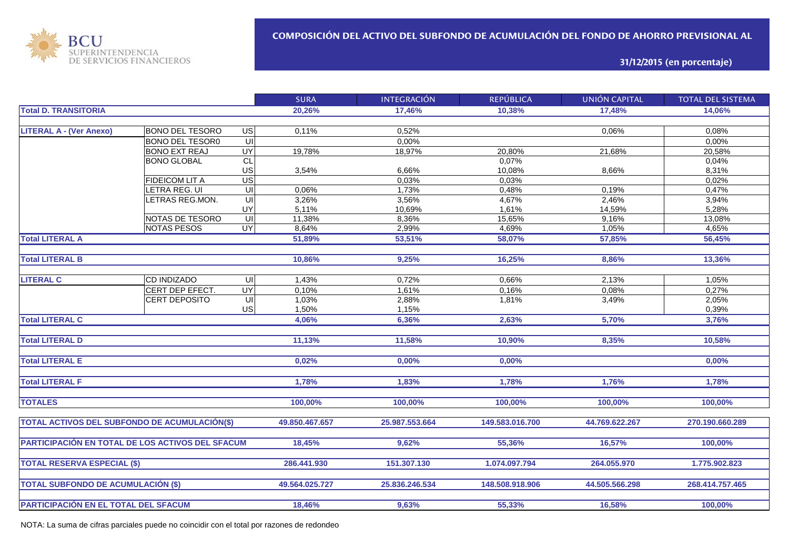

**31/12/2015 (en porcentaje)**

|                                                  |                        |                         | <b>SURA</b>    | <b>INTEGRACIÓN</b> | <b>REPÚBLICA</b> | <b>UNIÓN CAPITAL</b> | <b>TOTAL DEL SISTEMA</b> |
|--------------------------------------------------|------------------------|-------------------------|----------------|--------------------|------------------|----------------------|--------------------------|
| <b>Total D. TRANSITORIA</b>                      |                        |                         | 20,26%         | 17,46%             | 10.38%           | 17,48%               | 14,06%                   |
|                                                  |                        |                         |                |                    |                  |                      |                          |
| <b>LITERAL A - (Ver Anexo)</b>                   | <b>BONO DEL TESORO</b> | $\overline{G}$          | 0,11%          | 0,52%              |                  | 0,06%                | 0,08%                    |
|                                                  | <b>BONO DEL TESOR0</b> | $\subseteq$             |                | 0,00%              |                  |                      | 0,00%                    |
|                                                  | <b>BONO EXT REAJ</b>   | <b>UY</b>               | 19,78%         | 18,97%             | 20,80%           | 21,68%               | 20,58%                   |
|                                                  | <b>BONO GLOBAL</b>     | $\overline{CL}$         |                |                    | 0,07%            |                      | 0,04%                    |
|                                                  |                        | US                      | 3,54%          | 6,66%              | 10,08%           | 8,66%                | 8,31%                    |
|                                                  | <b>FIDEICOM LIT A</b>  | $\overline{US}$         |                | 0.03%              | 0,03%            |                      | 0,02%                    |
|                                                  | LETRA REG. UI          | $\overline{\mathsf{C}}$ | 0,06%          | 1,73%              | 0,48%            | 0,19%                | 0,47%                    |
|                                                  | LETRAS REG.MON.        | UI                      | 3,26%          | 3,56%              | 4,67%            | 2,46%                | 3,94%                    |
|                                                  |                        | UY                      | 5,11%          | 10,69%             | 1,61%            | 14,59%               | 5,28%                    |
|                                                  | NOTAS DE TESORO        | UI                      | 11,38%         | 8,36%              | 15,65%           | 9,16%                | 13,08%                   |
|                                                  | <b>NOTAS PESOS</b>     | <b>UY</b>               | 8,64%          | 2,99%              | 4,69%            | 1,05%                | 4,65%                    |
| <b>Total LITERAL A</b>                           |                        |                         | 51,89%         | 53,51%             | 58,07%           | 57,85%               | 56,45%                   |
|                                                  |                        |                         |                |                    |                  |                      |                          |
| <b>Total LITERAL B</b>                           |                        |                         | 10,86%         | 9,25%              | 16,25%           | 8,86%                | 13,36%                   |
|                                                  |                        |                         |                |                    |                  |                      |                          |
| <b>LITERAL C</b>                                 | CD INDIZADO            | UI                      | 1,43%          | 0,72%              | 0,66%            | 2,13%                | 1,05%                    |
|                                                  | CERT DEP EFECT.        | $\overline{\mathsf{C}}$ | 0,10%          | 1,61%              | 0,16%            | 0,08%                | 0,27%                    |
|                                                  | <b>CERT DEPOSITO</b>   | UI                      | 1,03%          | 2,88%              | 1,81%            | 3,49%                | 2,05%                    |
|                                                  |                        | US                      | 1,50%          | 1,15%              |                  |                      | 0,39%                    |
| <b>Total LITERAL C</b>                           |                        |                         | 4,06%          | 6,36%              | 2,63%            | 5,70%                | 3,76%                    |
|                                                  |                        |                         |                |                    |                  |                      |                          |
| <b>Total LITERAL D</b>                           |                        |                         | 11,13%         | 11,58%             | 10,90%           | 8,35%                | 10,58%                   |
|                                                  |                        |                         |                |                    |                  |                      |                          |
| <b>Total LITERAL E</b>                           |                        |                         | 0,02%          | 0,00%              | 0,00%            |                      | 0,00%                    |
|                                                  |                        |                         |                |                    |                  |                      |                          |
| <b>Total LITERAL F</b>                           |                        |                         | 1,78%          | 1,83%              | 1,78%            | 1,76%                | 1,78%                    |
|                                                  |                        |                         |                |                    |                  |                      |                          |
| <b>TOTALES</b>                                   |                        |                         | 100,00%        | 100,00%            | 100,00%          | 100,00%              | 100,00%                  |
| TOTAL ACTIVOS DEL SUBFONDO DE ACUMULACIÓN(\$)    |                        |                         | 49.850.467.657 | 25.987.553.664     | 149.583.016.700  | 44.769.622.267       | 270.190.660.289          |
|                                                  |                        |                         |                |                    |                  |                      |                          |
| PARTICIPACIÓN EN TOTAL DE LOS ACTIVOS DEL SFACUM |                        |                         | 18,45%         | 9.62%              | 55,36%           | 16,57%               | 100,00%                  |
|                                                  |                        |                         |                |                    |                  |                      |                          |
| <b>TOTAL RESERVA ESPECIAL (\$)</b>               |                        |                         | 286.441.930    | 151.307.130        | 1.074.097.794    | 264.055.970          | 1.775.902.823            |
|                                                  |                        |                         |                |                    |                  |                      |                          |
| <b>TOTAL SUBFONDO DE ACUMULACIÓN (\$)</b>        |                        |                         | 49.564.025.727 | 25.836.246.534     | 148.508.918.906  | 44.505.566.298       | 268.414.757.465          |
|                                                  |                        |                         |                |                    |                  |                      |                          |
| PARTICIPACIÓN EN EL TOTAL DEL SFACUM             |                        |                         | 18,46%         | 9,63%              | 55,33%           | 16,58%               | 100,00%                  |
|                                                  |                        |                         |                |                    |                  |                      |                          |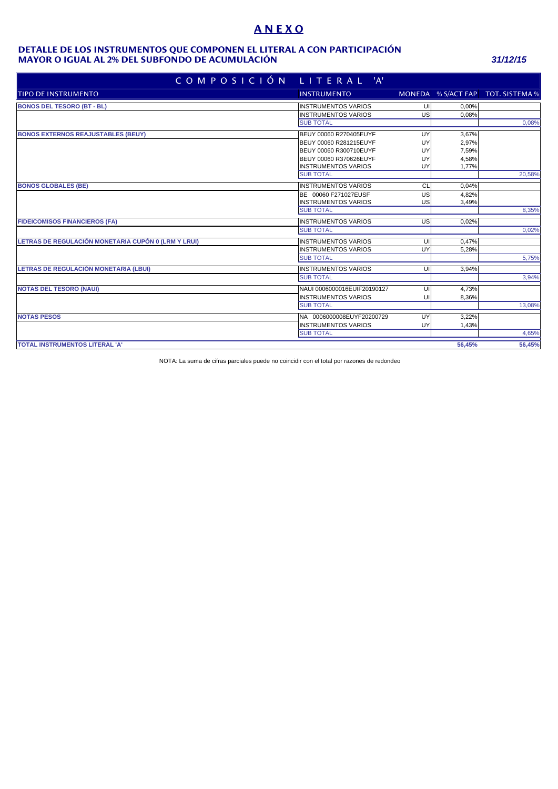# **A N E X O**

#### **MAYOR O IGUAL AL 2% DEL SUBFONDO DE ACUMULACIÓN** *31/12/15* **DETALLE DE LOS INSTRUMENTOS QUE COMPONEN EL LITERAL A CON PARTICIPACIÓN**

| COMPOSICIÓN                                         | LITERAL 'A'                 |    |        |                                   |
|-----------------------------------------------------|-----------------------------|----|--------|-----------------------------------|
| <b>TIPO DE INSTRUMENTO</b>                          | <b>INSTRUMENTO</b>          |    |        | MONEDA % S/ACT FAP TOT. SISTEMA % |
| <b>BONOS DEL TESORO (BT - BL)</b>                   | <b>INSTRUMENTOS VARIOS</b>  | UI | 0,00%  |                                   |
|                                                     | <b>INSTRUMENTOS VARIOS</b>  | US | 0,08%  |                                   |
|                                                     | <b>SUB TOTAL</b>            |    |        | 0,08%                             |
| <b>BONOS EXTERNOS REAJUSTABLES (BEUY)</b>           | BEUY 00060 R270405EUYF      | UY | 3,67%  |                                   |
|                                                     | BEUY 00060 R281215EUYF      | UY | 2,97%  |                                   |
|                                                     | BEUY 00060 R300710EUYF      | UY | 7,59%  |                                   |
|                                                     | BEUY 00060 R370626EUYF      | UY | 4,58%  |                                   |
|                                                     | <b>INSTRUMENTOS VARIOS</b>  | UY | 1,77%  |                                   |
|                                                     | <b>SUB TOTAL</b>            |    |        | 20,58%                            |
| <b>BONOS GLOBALES (BE)</b>                          | <b>INSTRUMENTOS VARIOS</b>  | CL | 0.04%  |                                   |
|                                                     | BE 00060 F271027EUSF        | US | 4.82%  |                                   |
|                                                     | <b>INSTRUMENTOS VARIOS</b>  | US | 3,49%  |                                   |
|                                                     | <b>SUB TOTAL</b>            |    |        | 8,35%                             |
| <b>FIDEICOMISOS FINANCIEROS (FA)</b>                | <b>INSTRUMENTOS VARIOS</b>  | US | 0,02%  |                                   |
|                                                     | <b>SUB TOTAL</b>            |    |        | 0,02%                             |
| LETRAS DE REGULACIÓN MONETARIA CUPÓN 0 (LRM Y LRUI) | <b>INSTRUMENTOS VARIOS</b>  | UI | 0.47%  |                                   |
|                                                     | <b>INSTRUMENTOS VARIOS</b>  | UY | 5,28%  |                                   |
|                                                     | <b>SUB TOTAL</b>            |    |        | 5,75%                             |
| LETRAS DE REGULACIÓN MONETARIA (LBUI)               | <b>INSTRUMENTOS VARIOS</b>  | U  | 3,94%  |                                   |
|                                                     | <b>SUB TOTAL</b>            |    |        | 3,94%                             |
| <b>NOTAS DEL TESORO (NAUI)</b>                      | NAUI 0006000016EUIF20190127 | UI | 4,73%  |                                   |
|                                                     | <b>INSTRUMENTOS VARIOS</b>  | UI | 8,36%  |                                   |
|                                                     | <b>SUB TOTAL</b>            |    |        | 13,08%                            |
| <b>NOTAS PESOS</b>                                  | NA 0006000008EUYF20200729   | UY | 3.22%  |                                   |
|                                                     | <b>INSTRUMENTOS VARIOS</b>  | UY | 1,43%  |                                   |
|                                                     | <b>SUB TOTAL</b>            |    |        | 4,65%                             |
| TOTAL INSTRUMENTOS LITERAL 'A'                      |                             |    | 56.45% | 56,45%                            |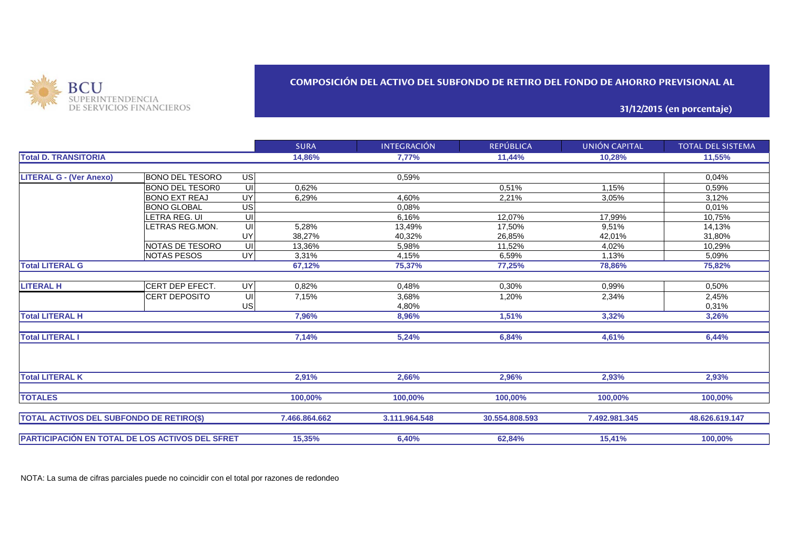

## **COMPOSICIÓN DEL ACTIVO DEL SUBFONDO DE RETIRO DEL FONDO DE AHORRO PREVISIONAL AL**

**31/12/2015 (en porcentaje)**

|                                                 |                        |                 | <b>SURA</b>   | <b>INTEGRACIÓN</b> | <b>REPÚBLICA</b> | UNIÓN CAPITAL | <b>TOTAL DEL SISTEMA</b> |
|-------------------------------------------------|------------------------|-----------------|---------------|--------------------|------------------|---------------|--------------------------|
| <b>Total D. TRANSITORIA</b>                     |                        |                 | 14,86%        | 7,77%              | 11,44%           | 10,28%        | 11,55%                   |
|                                                 |                        |                 |               |                    |                  |               |                          |
| <b>LITERAL G - (Ver Anexo)</b>                  | BONO DEL TESORO        | US              |               | 0.59%              |                  |               | 0,04%                    |
|                                                 | <b>BONO DEL TESOR0</b> | UI              | 0,62%         |                    | 0.51%            | 1,15%         | 0.59%                    |
|                                                 | <b>BONO EXT REAJ</b>   | $\overline{UY}$ | 6,29%         | 4,60%              | 2,21%            | 3,05%         | 3,12%                    |
|                                                 | <b>BONO GLOBAL</b>     | US              |               | 0.08%              |                  |               | 0,01%                    |
|                                                 | LETRA REG. UI          | UI              |               | 6.16%              | 12,07%           | 17,99%        | 10,75%                   |
|                                                 | LETRAS REG.MON.        | UI              | 5,28%         | 13,49%             | 17,50%           | 9,51%         | 14,13%                   |
|                                                 |                        | UY              | 38,27%        | 40,32%             | 26,85%           | 42,01%        | 31,80%                   |
|                                                 | NOTAS DE TESORO        | UI              | 13,36%        | 5,98%              | 11,52%           | 4,02%         | 10,29%                   |
|                                                 | <b>NOTAS PESOS</b>     | UY              | 3,31%         | 4,15%              | 6,59%            | 1,13%         | 5,09%                    |
| <b>Total LITERAL G</b>                          |                        |                 | 67,12%        | 75,37%             | 77,25%           | 78,86%        | 75,82%                   |
|                                                 |                        |                 |               |                    |                  |               |                          |
| <b>LITERAL H</b>                                | CERT DEP EFECT.        | UY              | 0,82%         | 0,48%              | 0,30%            | 0,99%         | 0,50%                    |
|                                                 | <b>CERT DEPOSITO</b>   | UI              | 7,15%         | 3,68%              | 1,20%            | 2,34%         | 2,45%                    |
|                                                 |                        | <b>US</b>       |               | 4,80%              |                  |               | 0,31%                    |
| <b>Total LITERAL H</b>                          |                        |                 | 7.96%         | 8,96%              | 1,51%            | 3,32%         | 3,26%                    |
| <b>Total LITERAL I</b>                          |                        |                 | 7,14%         | 5,24%              | 6,84%            | 4,61%         | 6,44%                    |
| <b>Total LITERAL K</b>                          |                        |                 | 2.91%         | 2,66%              | 2,96%            | 2,93%         | 2,93%                    |
|                                                 |                        |                 |               |                    |                  |               |                          |
| <b>TOTALES</b>                                  |                        |                 | 100,00%       | 100,00%            | 100,00%          | 100,00%       | 100,00%                  |
| <b>TOTAL ACTIVOS DEL SUBFONDO DE RETIRO(\$)</b> |                        |                 | 7.466.864.662 | 3.111.964.548      | 30.554.808.593   | 7.492.981.345 | 48.626.619.147           |
| PARTICIPACIÓN EN TOTAL DE LOS ACTIVOS DEL SFRET |                        |                 | 15,35%        | 6,40%              | 62,84%           | 15,41%        | 100,00%                  |